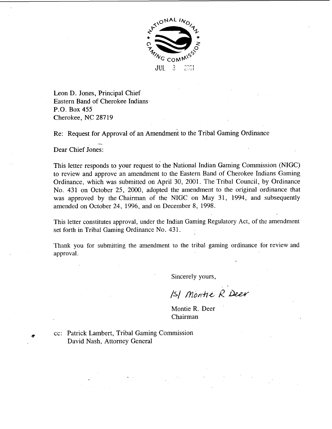

Leon D. Jones, Principal Chief Eastern Band of Cherokee Indians P.O. Box 455 Cherokee, NC 28719

Re: Request for Approval of an Amendment to the Tribal Gaming Ordinance<br>
- Gui a C

Dear Chief Jones:

This letter responds to your request to the National Indian Gaming Commission (NIGC) to review and approve an amendment to the Eastern Band of Cherokee Indians Gaming Ordinance, which was submitted on April 30, 2001. The Tribal Council, by Ordinance No. 431 on October 25, 2000, adopted the amendment to the original ordinance that was approved by the Chairman of the NIGC on May 31, 1994, and subsequently amended on October 24, 1996, and on December 8, 1998.

This letter constitutes approval, under the Indian Gaming Regulatory Act, of the amendment set forth in Tribal Gaming Ordinance No. 431.

Thank you for submitting the amendment to the tribal gaming ordinance for review and approval.

Sincerely yours,

ISI Montie R Deer

Montie R. Deer Chairman

cc: Patrick Lambert, Tribal Gaming Commission David Nash, Attorney General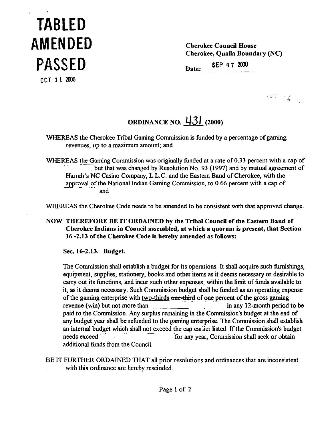## **TABLED AMENDED PASSED**

**Cherokee Council House Cherokee, Qualla Boundary (NC)** 

**Date: SEP 0 7 <sup>2000</sup>**

**OCT 11 2000** 

 $\cos^2\theta = 2 - \frac{1}{2}$ 

## **ORDINANCE NO.** 43 **1 (2000)**

WHEREAS the Cherokee Tribal Gaming Commission is funded by a percentage of gaming revenues, up to a maximum amount; and

WHEREAS the Gaming Commission was originally funded at a rate of 0.33 percent with a cap of but that was changed by Resolution No. 93 (1997) and by mutual agreement of Harrah's NC Casino Company, **L.L.C.** and the Eastern Band of Cherokee, with the but that was changed by Resolution No. 93 (1997) and by mutual agreem<br>Harrah's NC Casino Company, L.L.C. and the Eastern Band of Cherokee, with the<br>approval of the National Indian Gaming Commission, to 0.66 percent with a . and

WHEREAS the Cherokee Code needs to be amended to be consistent with that approved change.

**NOW THEREFORE BE IT ORDAINED by the Tribal Council of the Eastern Band of Cherokee Indians in Council assembled, at which a quorum is present, that Section 16 -2.13 of the Cherokee Code is hereby amended as follows:** 

**Sec. 16-2.13. Budget.** 

 $\overline{\phantom{a}}$ 

The Commission shall establish a budget for its operations. It shall acquire such fiunishings, equipment, supplies, stationery, books and other items as it deems necessary or desirable to carry out its functions, and incur such other expenses, within the limit of funds available to it, as it deems necessary. Such Commission budget shall be funded as an operating expense carry out its functions, and incur such other expenses, within the limit of funds available<br>it, as it deems necessary. Such Commission budget shall be funded as an operating exp<br>of the gaming enterprise with <u>two-thirds</u> o revenue (win) but not more than \_ \_ .. in **any** 12-month period to be paid to the Commission. Any surplus remaining in the Commission's budget at the end of any budget year shall be refunded to the gaming enterprise. The Commission shall establish paid to the Commission. Any surprus remaining in the Commission's budget at the end of<br>any budget year shall be refunded to the gaming enterprise. The Commission shall establish<br>an internal budget which shall not exceed th needs exceed **for any year, Commission shall seek or obtain** additional funds from the Council.

**BE IT FURTHER** ORDAINED THAT **all** prior resolutions and ordinances that are inconsistent with this ordinance are hereby rescinded.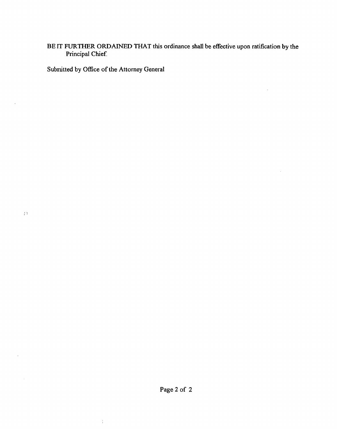## **BE** IT **FURTHER** ORDAINED **THAT this ordinance shall be effective upon ratification by the Principal Chief**

 $\mathcal{L}$ 

 $\bar{z}$ 

**Submitted by Office of the Attorney General** 

 $\frac{1}{4}$ 

 $\pm 5$ 

 $\bar{z}$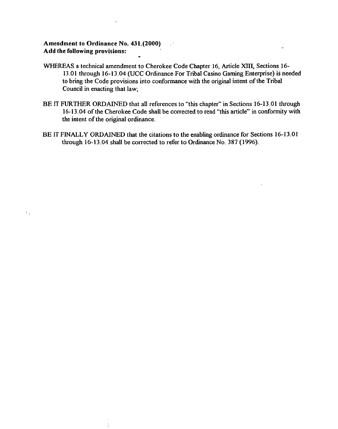## Amendment to Ordinance No. 431.(2000) Add the following provisions:

 $\pm$ 

- WHEREAS a technical amendment to Cherokee Code Chapter 16, Article **XIII,** Sections **16-**  13.0 **1** through **16- 13.04** (UCC Ordinance For Tribal Casino Gaming Enterprise) is needed to bring the Code provisions into conformance with the original intent of the Tribal Council in enacting that law;
- BE IT FURTHER ORDAINED that all references to "this chapter" in Sections 16-13.01 through **16-1 3.04** of the Cherokee Code shall be corrected to read "this article" in conformity with the intent of the original ordinance.
- **BE** IT **FMALLY** ORDAINED that the citations to the enabling ordinance for Sections **16- 13.0 1**  through **16- 13.04** shall be corrected to refer to Ordinance No. 387 **(1** 996).